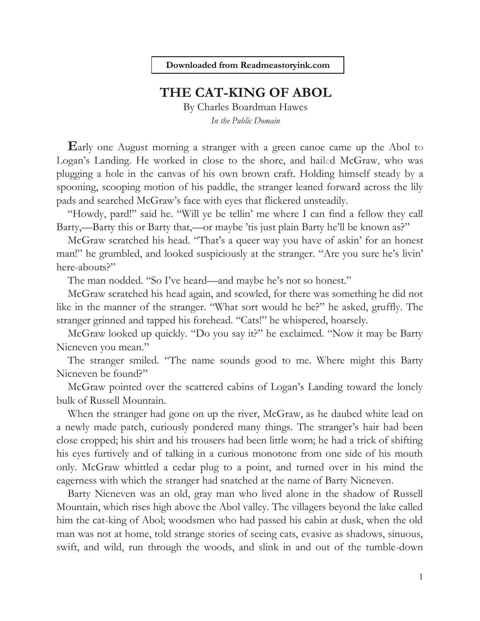**Downloaded from Readmeastoryink.com**

## **THE CAT-KING OF ABOL**

By Charles Boardman Hawes *In the Public Domain*

**E**arly one August morning a stranger with a green canoe came up the Abol to Logan's Landing. He worked in close to the shore, and hailed McGraw, who was plugging a hole in the canvas of his own brown craft. Holding himself steady by a spooning, scooping motion of his paddle, the stranger leaned forward across the lily pads and searched McGraw's face with eyes that flickered unsteadily.

"Howdy, pard!" said he. "Will ye be tellin' me where I can find a fellow they call Barty,—Barty this or Barty that,—or maybe 'tis just plain Barty he'll be known as?"

McGraw scratched his head. "That's a queer way you have of askin' for an honest man!" he grumbled, and looked suspiciously at the stranger. "Are you sure he's livin' here-abouts?"

The man nodded. "So I've heard—and maybe he's not so honest."

McGraw scratched his head again, and scowled, for there was something he did not like in the manner of the stranger. "What sort would he be?" he asked, gruffly. The stranger grinned and tapped his forehead. "Cats!" he whispered, hoarsely.

McGraw looked up quickly. "Do you say it?" he exclaimed. "Now it may be Barty Nicneven you mean."

The stranger smiled. "The name sounds good to me. Where might this Barty Nicneven be found?"

McGraw pointed over the scattered cabins of Logan's Landing toward the lonely bulk of Russell Mountain.

When the stranger had gone on up the river, McGraw, as he daubed white lead on a newly made patch, curiously pondered many things. The stranger's hair had been close cropped; his shirt and his trousers had been little worn; he had a trick of shifting his eyes furtively and of talking in a curious monotone from one side of his mouth only. McGraw whittled a cedar plug to a point, and turned over in his mind the eagerness with which the stranger had snatched at the name of Barty Nicneven.

Barty Nicneven was an old, gray man who lived alone in the shadow of Russell Mountain, which rises high above the Abol valley. The villagers beyond the lake called him the cat-king of Abol; woodsmen who had passed his cabin at dusk, when the old man was not at home, told strange stories of seeing cats, evasive as shadows, sinuous, swift, and wild, run through the woods, and slink in and out of the tumble-down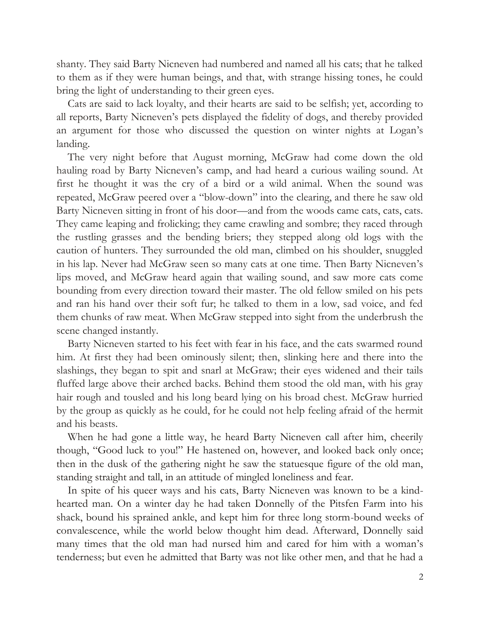shanty. They said Barty Nicneven had numbered and named all his cats; that he talked to them as if they were human beings, and that, with strange hissing tones, he could bring the light of understanding to their green eyes.

Cats are said to lack loyalty, and their hearts are said to be selfish; yet, according to all reports, Barty Nicneven's pets displayed the fidelity of dogs, and thereby provided an argument for those who discussed the question on winter nights at Logan's landing.

The very night before that August morning, McGraw had come down the old hauling road by Barty Nicneven's camp, and had heard a curious wailing sound. At first he thought it was the cry of a bird or a wild animal. When the sound was repeated, McGraw peered over a "blow-down" into the clearing, and there he saw old Barty Nicneven sitting in front of his door—and from the woods came cats, cats, cats. They came leaping and frolicking; they came crawling and sombre; they raced through the rustling grasses and the bending briers; they stepped along old logs with the caution of hunters. They surrounded the old man, climbed on his shoulder, snuggled in his lap. Never had McGraw seen so many cats at one time. Then Barty Nicneven's lips moved, and McGraw heard again that wailing sound, and saw more cats come bounding from every direction toward their master. The old fellow smiled on his pets and ran his hand over their soft fur; he talked to them in a low, sad voice, and fed them chunks of raw meat. When McGraw stepped into sight from the underbrush the scene changed instantly.

Barty Nicneven started to his feet with fear in his face, and the cats swarmed round him. At first they had been ominously silent; then, slinking here and there into the slashings, they began to spit and snarl at McGraw; their eyes widened and their tails fluffed large above their arched backs. Behind them stood the old man, with his gray hair rough and tousled and his long beard lying on his broad chest. McGraw hurried by the group as quickly as he could, for he could not help feeling afraid of the hermit and his beasts.

When he had gone a little way, he heard Barty Nicneven call after him, cheerily though, "Good luck to you!" He hastened on, however, and looked back only once; then in the dusk of the gathering night he saw the statuesque figure of the old man, standing straight and tall, in an attitude of mingled loneliness and fear.

In spite of his queer ways and his cats, Barty Nicneven was known to be a kindhearted man. On a winter day he had taken Donnelly of the Pitsfen Farm into his shack, bound his sprained ankle, and kept him for three long storm-bound weeks of convalescence, while the world below thought him dead. Afterward, Donnelly said many times that the old man had nursed him and cared for him with a woman's tenderness; but even he admitted that Barty was not like other men, and that he had a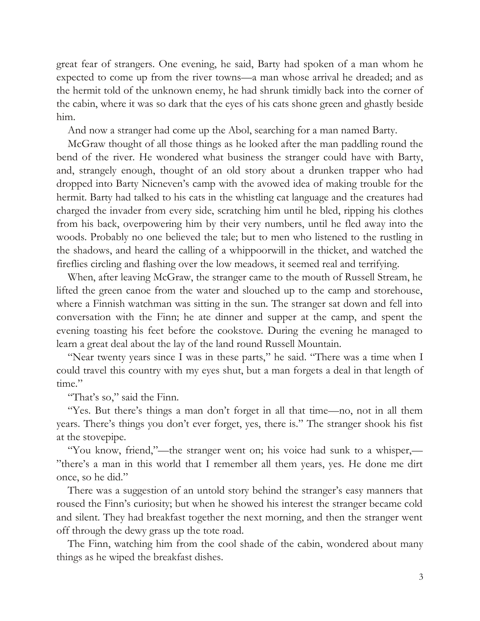great fear of strangers. One evening, he said, Barty had spoken of a man whom he expected to come up from the river towns—a man whose arrival he dreaded; and as the hermit told of the unknown enemy, he had shrunk timidly back into the corner of the cabin, where it was so dark that the eyes of his cats shone green and ghastly beside him.

And now a stranger had come up the Abol, searching for a man named Barty.

McGraw thought of all those things as he looked after the man paddling round the bend of the river. He wondered what business the stranger could have with Barty, and, strangely enough, thought of an old story about a drunken trapper who had dropped into Barty Nicneven's camp with the avowed idea of making trouble for the hermit. Barty had talked to his cats in the whistling cat language and the creatures had charged the invader from every side, scratching him until he bled, ripping his clothes from his back, overpowering him by their very numbers, until he fled away into the woods. Probably no one believed the tale; but to men who listened to the rustling in the shadows, and heard the calling of a whippoorwill in the thicket, and watched the fireflies circling and flashing over the low meadows, it seemed real and terrifying.

When, after leaving McGraw, the stranger came to the mouth of Russell Stream, he lifted the green canoe from the water and slouched up to the camp and storehouse, where a Finnish watchman was sitting in the sun. The stranger sat down and fell into conversation with the Finn; he ate dinner and supper at the camp, and spent the evening toasting his feet before the cookstove. During the evening he managed to learn a great deal about the lay of the land round Russell Mountain.

"Near twenty years since I was in these parts," he said. "There was a time when I could travel this country with my eyes shut, but a man forgets a deal in that length of time."

"That's so," said the Finn.

"Yes. But there's things a man don't forget in all that time—no, not in all them years. There's things you don't ever forget, yes, there is." The stranger shook his fist at the stovepipe.

"You know, friend,"—the stranger went on; his voice had sunk to a whisper,— "there's a man in this world that I remember all them years, yes. He done me dirt once, so he did."

There was a suggestion of an untold story behind the stranger's easy manners that roused the Finn's curiosity; but when he showed his interest the stranger became cold and silent. They had breakfast together the next morning, and then the stranger went off through the dewy grass up the tote road.

The Finn, watching him from the cool shade of the cabin, wondered about many things as he wiped the breakfast dishes.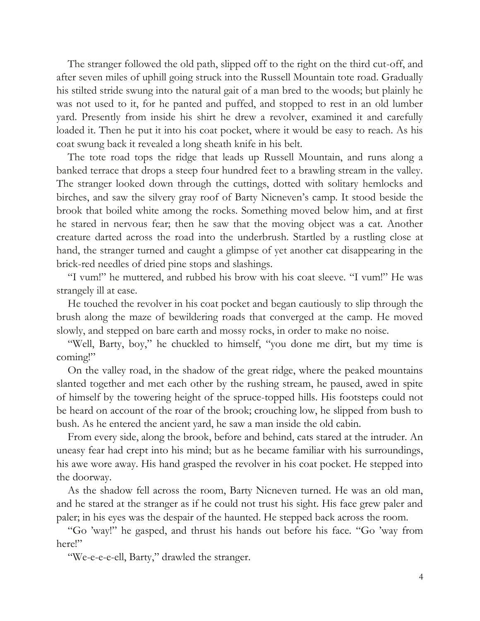The stranger followed the old path, slipped off to the right on the third cut-off, and after seven miles of uphill going struck into the Russell Mountain tote road. Gradually his stilted stride swung into the natural gait of a man bred to the woods; but plainly he was not used to it, for he panted and puffed, and stopped to rest in an old lumber yard. Presently from inside his shirt he drew a revolver, examined it and carefully loaded it. Then he put it into his coat pocket, where it would be easy to reach. As his coat swung back it revealed a long sheath knife in his belt.

The tote road tops the ridge that leads up Russell Mountain, and runs along a banked terrace that drops a steep four hundred feet to a brawling stream in the valley. The stranger looked down through the cuttings, dotted with solitary hemlocks and birches, and saw the silvery gray roof of Barty Nicneven's camp. It stood beside the brook that boiled white among the rocks. Something moved below him, and at first he stared in nervous fear; then he saw that the moving object was a cat. Another creature darted across the road into the underbrush. Startled by a rustling close at hand, the stranger turned and caught a glimpse of yet another cat disappearing in the brick-red needles of dried pine stops and slashings.

"I vum!" he muttered, and rubbed his brow with his coat sleeve. "I vum!" He was strangely ill at ease.

He touched the revolver in his coat pocket and began cautiously to slip through the brush along the maze of bewildering roads that converged at the camp. He moved slowly, and stepped on bare earth and mossy rocks, in order to make no noise.

"Well, Barty, boy," he chuckled to himself, "you done me dirt, but my time is coming!"

On the valley road, in the shadow of the great ridge, where the peaked mountains slanted together and met each other by the rushing stream, he paused, awed in spite of himself by the towering height of the spruce-topped hills. His footsteps could not be heard on account of the roar of the brook; crouching low, he slipped from bush to bush. As he entered the ancient yard, he saw a man inside the old cabin.

From every side, along the brook, before and behind, cats stared at the intruder. An uneasy fear had crept into his mind; but as he became familiar with his surroundings, his awe wore away. His hand grasped the revolver in his coat pocket. He stepped into the doorway.

As the shadow fell across the room, Barty Nicneven turned. He was an old man, and he stared at the stranger as if he could not trust his sight. His face grew paler and paler; in his eyes was the despair of the haunted. He stepped back across the room.

"Go 'way!" he gasped, and thrust his hands out before his face. "Go 'way from here!"

"We-e-e-e-ell, Barty," drawled the stranger.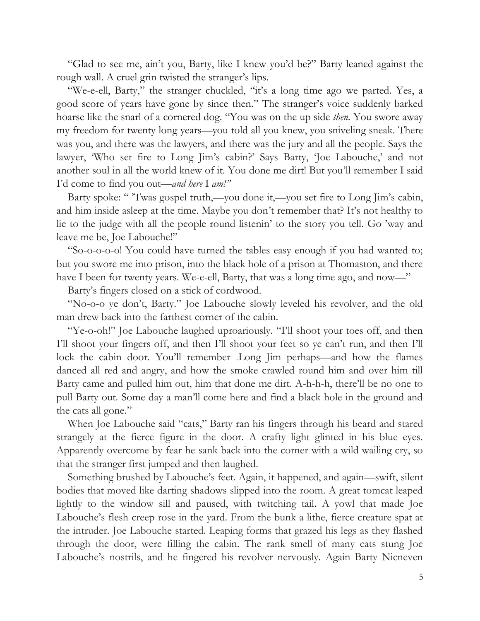"Glad to see me, ain't you, Barty, like I knew you'd be?" Barty leaned against the rough wall. A cruel grin twisted the stranger's lips.

"We-e-ell, Barty," the stranger chuckled, "it's a long time ago we parted. Yes, a good score of years have gone by since then." The stranger's voice suddenly barked hoarse like the snarl of a cornered dog. "You was on the up side *then.* You swore away my freedom for twenty long years—you told all you knew, you sniveling sneak. There was you, and there was the lawyers, and there was the jury and all the people. Says the lawyer, 'Who set fire to Long Jim's cabin?' Says Barty, 'Joe Labouche,' and not another soul in all the world knew of it. You done me dirt! But you'll remember I said I'd come to find you out—*and here* I *am!"*

Barty spoke: " 'Twas gospel truth,—you done it,—you set fire to Long Jim's cabin, and him inside asleep at the time. Maybe you don't remember that? It's not healthy to lie to the judge with all the people round listenin' to the story you tell. Go 'way and leave me be, Joe Labouche!"

"So-o-o-o-o! You could have turned the tables easy enough if you had wanted to; but you swore me into prison, into the black hole of a prison at Thomaston, and there have I been for twenty years. We-e-ell, Barty, that was a long time ago, and now—"

Barty's fingers closed on a stick of cordwood.

"No-o-o ye don't, Barty." Joe Labouche slowly leveled his revolver, and the old man drew back into the farthest corner of the cabin.

"Ye-o-oh!" Joe Labouche laughed uproariously. "I'll shoot your toes off, and then I'll shoot your fingers off, and then I'll shoot your feet so ye can't run, and then I'll lock the cabin door. You'll remember .Long Jim perhaps—and how the flames danced all red and angry, and how the smoke crawled round him and over him till Barty came and pulled him out, him that done me dirt. A-h-h-h, there'll be no one to pull Barty out. Some day a man'll come here and find a black hole in the ground and the cats all gone."

When Joe Labouche said "cats," Barty ran his fingers through his beard and stared strangely at the fierce figure in the door. A crafty light glinted in his blue eyes. Apparently overcome by fear he sank back into the corner with a wild wailing cry, so that the stranger first jumped and then laughed.

Something brushed by Labouche's feet. Again, it happened, and again—swift, silent bodies that moved like darting shadows slipped into the room. A great tomcat leaped lightly to the window sill and paused, with twitching tail. A yowl that made Joe Labouche's flesh creep rose in the yard. From the bunk a lithe, fierce creature spat at the intruder. Joe Labouche started. Leaping forms that grazed his legs as they flashed through the door, were filling the cabin. The rank smell of many cats stung Joe Labouche's nostrils, and he fingered his revolver nervously. Again Barty Nicneven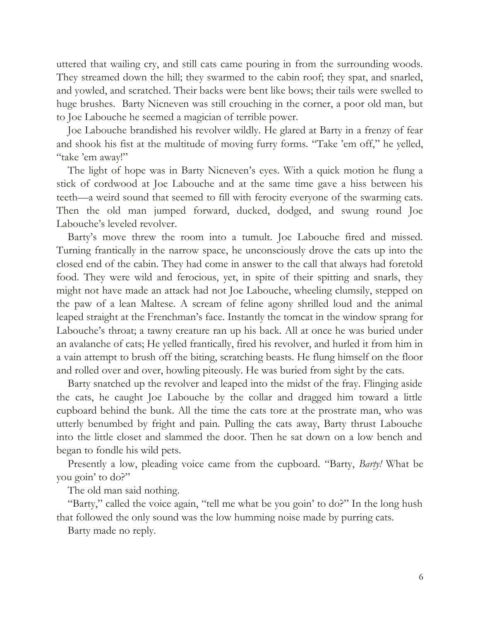uttered that wailing cry, and still cats came pouring in from the surrounding woods. They streamed down the hill; they swarmed to the cabin roof; they spat, and snarled, and yowled, and scratched. Their backs were bent like bows; their tails were swelled to huge brushes. Barty Nicneven was still crouching in the corner, a poor old man, but to Joe Labouche he seemed a magician of terrible power.

Joe Labouche brandished his revolver wildly. He glared at Barty in a frenzy of fear and shook his fist at the multitude of moving furry forms. "Take 'em off," he yelled, "take 'em away!"

The light of hope was in Barty Nicneven's eyes. With a quick motion he flung a stick of cordwood at Joe Labouche and at the same time gave a hiss between his teeth—a weird sound that seemed to fill with ferocity everyone of the swarming cats. Then the old man jumped forward, ducked, dodged, and swung round Joe Labouche's leveled revolver.

Barty's move threw the room into a tumult. Joe Labouche fired and missed. Turning frantically in the narrow space, he unconsciously drove the cats up into the closed end of the cabin. They had come in answer to the call that always had foretold food. They were wild and ferocious, yet, in spite of their spitting and snarls, they might not have made an attack had not Joe Labouche, wheeling clumsily, stepped on the paw of a lean Maltese. A scream of feline agony shrilled loud and the animal leaped straight at the Frenchman's face. Instantly the tomcat in the window sprang for Labouche's throat; a tawny creature ran up his back. All at once he was buried under an avalanche of cats; He yelled frantically, fired his revolver, and hurled it from him in a vain attempt to brush off the biting, scratching beasts. He flung himself on the floor and rolled over and over, howling piteously. He was buried from sight by the cats.

Barty snatched up the revolver and leaped into the midst of the fray. Flinging aside the cats, he caught Joe Labouche by the collar and dragged him toward a little cupboard behind the bunk. All the time the cats tore at the prostrate man, who was utterly benumbed by fright and pain. Pulling the cats away, Barty thrust Labouche into the little closet and slammed the door. Then he sat down on a low bench and began to fondle his wild pets.

Presently a low, pleading voice came from the cupboard. "Barty, *Barty!* What be you goin' to do?"

The old man said nothing.

"Barty," called the voice again, "tell me what be you goin' to do?" In the long hush that followed the only sound was the low humming noise made by purring cats.

Barty made no reply.